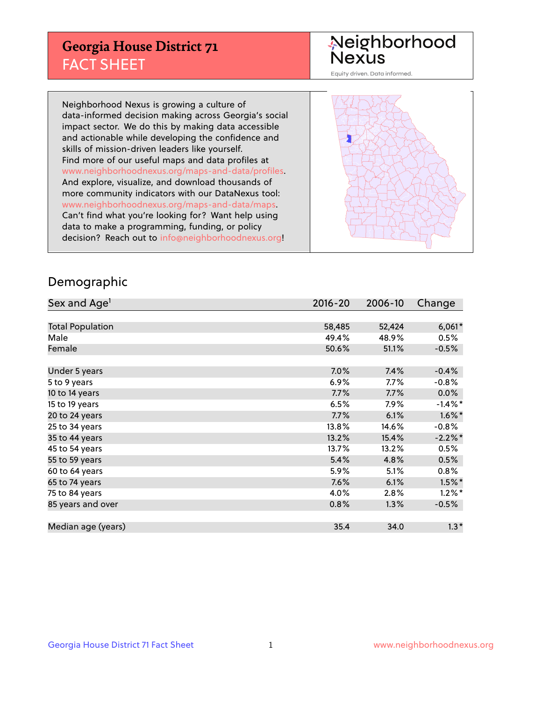## **Georgia House District 71** FACT SHEET

# Neighborhood<br>Nexus

Equity driven. Data informed.

Neighborhood Nexus is growing a culture of data-informed decision making across Georgia's social impact sector. We do this by making data accessible and actionable while developing the confidence and skills of mission-driven leaders like yourself. Find more of our useful maps and data profiles at www.neighborhoodnexus.org/maps-and-data/profiles. And explore, visualize, and download thousands of more community indicators with our DataNexus tool: www.neighborhoodnexus.org/maps-and-data/maps. Can't find what you're looking for? Want help using data to make a programming, funding, or policy decision? Reach out to [info@neighborhoodnexus.org!](mailto:info@neighborhoodnexus.org)



### Demographic

| Sex and Age <sup>1</sup> | $2016 - 20$ | 2006-10 | Change     |
|--------------------------|-------------|---------|------------|
|                          |             |         |            |
| <b>Total Population</b>  | 58,485      | 52,424  | $6,061*$   |
| Male                     | 49.4%       | 48.9%   | 0.5%       |
| Female                   | 50.6%       | 51.1%   | $-0.5%$    |
|                          |             |         |            |
| Under 5 years            | $7.0\%$     | 7.4%    | $-0.4%$    |
| 5 to 9 years             | $6.9\%$     | $7.7\%$ | $-0.8%$    |
| 10 to 14 years           | 7.7%        | 7.7%    | 0.0%       |
| 15 to 19 years           | 6.5%        | 7.9%    | $-1.4\%$ * |
| 20 to 24 years           | 7.7%        | 6.1%    | $1.6\%$ *  |
| 25 to 34 years           | 13.8%       | 14.6%   | $-0.8%$    |
| 35 to 44 years           | 13.2%       | 15.4%   | $-2.2\%$ * |
| 45 to 54 years           | 13.7%       | 13.2%   | 0.5%       |
| 55 to 59 years           | 5.4%        | 4.8%    | 0.5%       |
| 60 to 64 years           | 5.9%        | 5.1%    | $0.8\%$    |
| 65 to 74 years           | 7.6%        | 6.1%    | $1.5\%$ *  |
| 75 to 84 years           | 4.0%        | 2.8%    | $1.2\%$ *  |
| 85 years and over        | 0.8%        | 1.3%    | $-0.5%$    |
|                          |             |         |            |
| Median age (years)       | 35.4        | 34.0    | $1.3*$     |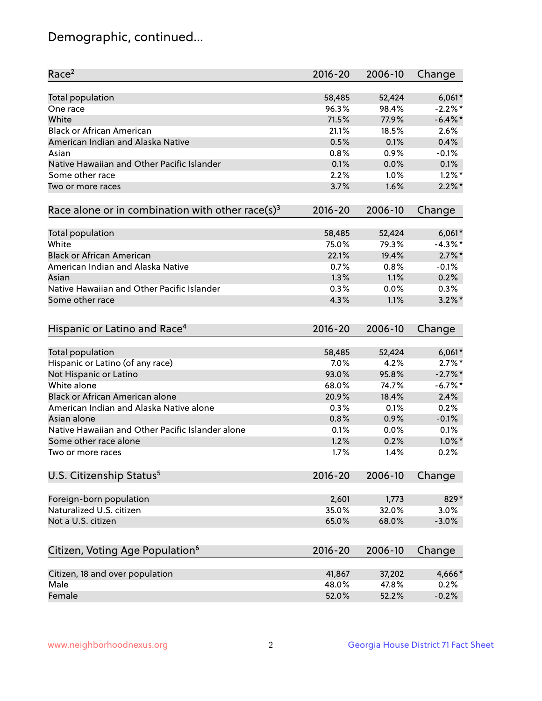## Demographic, continued...

| Race <sup>2</sup>                                            | $2016 - 20$ | 2006-10 | Change     |
|--------------------------------------------------------------|-------------|---------|------------|
| <b>Total population</b>                                      | 58,485      | 52,424  | $6,061*$   |
| One race                                                     | 96.3%       | 98.4%   | $-2.2\%$ * |
| White                                                        | 71.5%       | 77.9%   | $-6.4\%$ * |
| <b>Black or African American</b>                             | 21.1%       | 18.5%   | 2.6%       |
| American Indian and Alaska Native                            | 0.5%        | 0.1%    | 0.4%       |
| Asian                                                        | 0.8%        | 0.9%    | $-0.1%$    |
| Native Hawaiian and Other Pacific Islander                   | 0.1%        | 0.0%    | 0.1%       |
| Some other race                                              | 2.2%        | 1.0%    | $1.2\%$ *  |
| Two or more races                                            | 3.7%        | 1.6%    | $2.2\%$ *  |
| Race alone or in combination with other race(s) <sup>3</sup> | $2016 - 20$ | 2006-10 | Change     |
| Total population                                             | 58,485      | 52,424  | $6,061*$   |
| White                                                        | 75.0%       | 79.3%   | $-4.3%$ *  |
| <b>Black or African American</b>                             | 22.1%       | 19.4%   | $2.7\%$ *  |
| American Indian and Alaska Native                            | 0.7%        | 0.8%    | $-0.1%$    |
| Asian                                                        | 1.3%        | 1.1%    | 0.2%       |
| Native Hawaiian and Other Pacific Islander                   | 0.3%        | 0.0%    | 0.3%       |
| Some other race                                              | 4.3%        | 1.1%    | $3.2\%$ *  |
| Hispanic or Latino and Race <sup>4</sup>                     | $2016 - 20$ | 2006-10 | Change     |
| Total population                                             | 58,485      | 52,424  | $6,061*$   |
| Hispanic or Latino (of any race)                             | 7.0%        | 4.2%    | $2.7\%$ *  |
| Not Hispanic or Latino                                       | 93.0%       | 95.8%   | $-2.7\%$ * |
| White alone                                                  | 68.0%       | 74.7%   | $-6.7%$ *  |
| Black or African American alone                              | 20.9%       | 18.4%   | 2.4%       |
| American Indian and Alaska Native alone                      | 0.3%        | 0.1%    | 0.2%       |
| Asian alone                                                  | 0.8%        | 0.9%    | $-0.1%$    |
| Native Hawaiian and Other Pacific Islander alone             | 0.1%        | 0.0%    | 0.1%       |
| Some other race alone                                        | 1.2%        | 0.2%    | $1.0\%$ *  |
| Two or more races                                            | 1.7%        | 1.4%    | 0.2%       |
| U.S. Citizenship Status <sup>5</sup>                         | $2016 - 20$ | 2006-10 | Change     |
|                                                              |             |         |            |
| Foreign-born population                                      | 2,601       | 1,773   | 829*       |
| Naturalized U.S. citizen                                     | 35.0%       | 32.0%   | 3.0%       |
| Not a U.S. citizen                                           | 65.0%       | 68.0%   | $-3.0%$    |
| Citizen, Voting Age Population <sup>6</sup>                  | 2016-20     | 2006-10 | Change     |
| Citizen, 18 and over population                              | 41,867      | 37,202  | 4,666*     |
| Male                                                         | 48.0%       | 47.8%   | 0.2%       |
| Female                                                       | 52.0%       | 52.2%   | $-0.2%$    |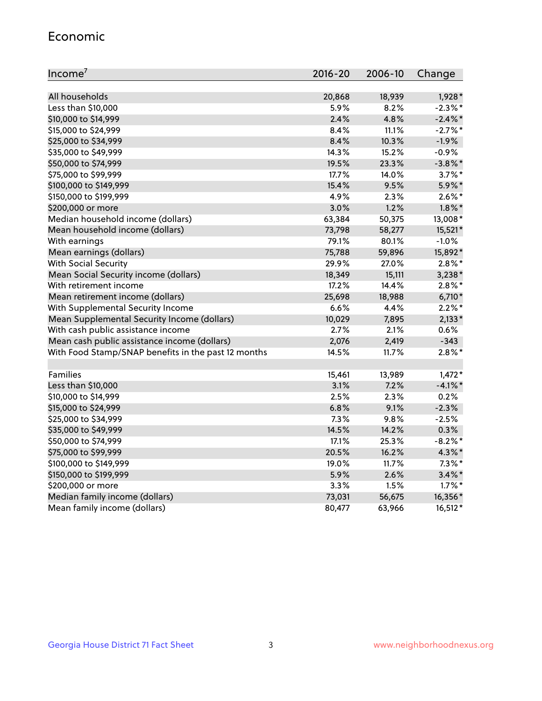#### Economic

| Income <sup>7</sup>                                 | $2016 - 20$ | 2006-10 | Change     |
|-----------------------------------------------------|-------------|---------|------------|
|                                                     |             |         |            |
| All households                                      | 20,868      | 18,939  | $1,928*$   |
| Less than \$10,000                                  | 5.9%        | 8.2%    | $-2.3\%$ * |
| \$10,000 to \$14,999                                | 2.4%        | 4.8%    | $-2.4\%$ * |
| \$15,000 to \$24,999                                | 8.4%        | 11.1%   | $-2.7%$ *  |
| \$25,000 to \$34,999                                | 8.4%        | 10.3%   | $-1.9%$    |
| \$35,000 to \$49,999                                | 14.3%       | 15.2%   | $-0.9%$    |
| \$50,000 to \$74,999                                | 19.5%       | 23.3%   | $-3.8\%$ * |
| \$75,000 to \$99,999                                | 17.7%       | 14.0%   | $3.7\%$ *  |
| \$100,000 to \$149,999                              | 15.4%       | 9.5%    | 5.9%*      |
| \$150,000 to \$199,999                              | 4.9%        | 2.3%    | $2.6\%$ *  |
| \$200,000 or more                                   | 3.0%        | 1.2%    | $1.8\%$ *  |
| Median household income (dollars)                   | 63,384      | 50,375  | 13,008*    |
| Mean household income (dollars)                     | 73,798      | 58,277  | 15,521*    |
| With earnings                                       | 79.1%       | 80.1%   | $-1.0%$    |
| Mean earnings (dollars)                             | 75,788      | 59,896  | 15,892*    |
| <b>With Social Security</b>                         | 29.9%       | 27.0%   | $2.8\%$ *  |
| Mean Social Security income (dollars)               | 18,349      | 15,111  | $3,238*$   |
| With retirement income                              | 17.2%       | 14.4%   | $2.8\%$ *  |
| Mean retirement income (dollars)                    | 25,698      | 18,988  | $6,710*$   |
| With Supplemental Security Income                   | 6.6%        | 4.4%    | $2.2\%$ *  |
| Mean Supplemental Security Income (dollars)         | 10,029      | 7,895   | $2,133*$   |
| With cash public assistance income                  | 2.7%        | 2.1%    | 0.6%       |
| Mean cash public assistance income (dollars)        | 2,076       | 2,419   | $-343$     |
| With Food Stamp/SNAP benefits in the past 12 months | 14.5%       | 11.7%   | $2.8\%$ *  |
|                                                     |             |         |            |
| Families                                            | 15,461      | 13,989  | $1,472*$   |
| Less than \$10,000                                  | 3.1%        | $7.2\%$ | $-4.1\%$ * |
| \$10,000 to \$14,999                                | 2.5%        | 2.3%    | 0.2%       |
| \$15,000 to \$24,999                                | 6.8%        | 9.1%    | $-2.3%$    |
| \$25,000 to \$34,999                                | 7.3%        | 9.8%    | $-2.5%$    |
| \$35,000 to \$49,999                                | 14.5%       | 14.2%   | 0.3%       |
| \$50,000 to \$74,999                                | 17.1%       | 25.3%   | $-8.2\%$ * |
| \$75,000 to \$99,999                                | 20.5%       | 16.2%   | $4.3\%$ *  |
| \$100,000 to \$149,999                              | 19.0%       | 11.7%   | $7.3\%$ *  |
| \$150,000 to \$199,999                              | 5.9%        | 2.6%    | $3.4\%$ *  |
| \$200,000 or more                                   | 3.3%        | 1.5%    | $1.7\%$ *  |
| Median family income (dollars)                      | 73,031      | 56,675  | 16,356*    |
| Mean family income (dollars)                        | 80,477      | 63,966  | 16,512*    |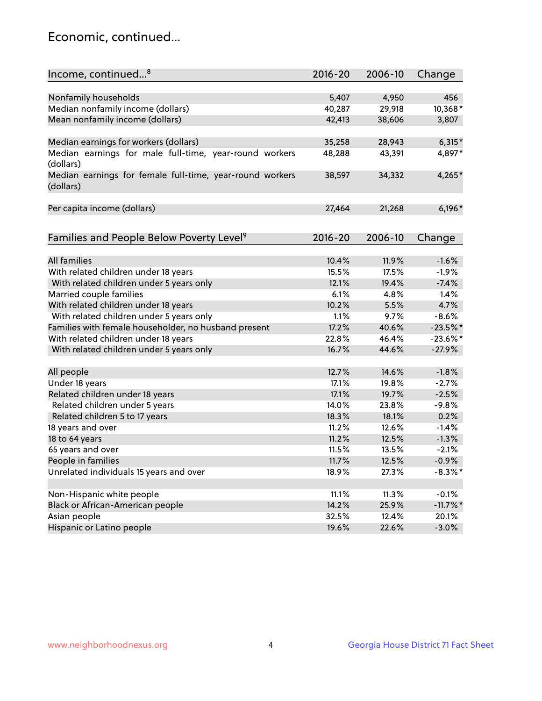## Economic, continued...

| Income, continued <sup>8</sup>                                        | $2016 - 20$ | 2006-10 | Change           |
|-----------------------------------------------------------------------|-------------|---------|------------------|
|                                                                       |             |         |                  |
| Nonfamily households                                                  | 5,407       | 4,950   | 456              |
| Median nonfamily income (dollars)                                     | 40,287      | 29,918  | 10,368*          |
| Mean nonfamily income (dollars)                                       | 42,413      | 38,606  | 3,807            |
| Median earnings for workers (dollars)                                 | 35,258      | 28,943  | $6,315*$         |
| Median earnings for male full-time, year-round workers                | 48,288      | 43,391  | 4,897*           |
| (dollars)                                                             |             |         |                  |
| Median earnings for female full-time, year-round workers<br>(dollars) | 38,597      | 34,332  | 4,265*           |
| Per capita income (dollars)                                           | 27,464      | 21,268  | $6,196*$         |
|                                                                       |             |         |                  |
| Families and People Below Poverty Level <sup>9</sup>                  | 2016-20     | 2006-10 | Change           |
|                                                                       |             |         |                  |
| <b>All families</b>                                                   | 10.4%       | 11.9%   | $-1.6%$          |
| With related children under 18 years                                  | 15.5%       | 17.5%   | $-1.9%$          |
| With related children under 5 years only                              | 12.1%       | 19.4%   | $-7.4%$          |
| Married couple families                                               | 6.1%        | 4.8%    | 1.4%             |
| With related children under 18 years                                  | 10.2%       | 5.5%    | 4.7%             |
| With related children under 5 years only                              | 1.1%        | 9.7%    | $-8.6%$          |
| Families with female householder, no husband present                  | 17.2%       | 40.6%   | $-23.5%$ *       |
| With related children under 18 years                                  | 22.8%       | 46.4%   | $-23.6\%$ *      |
| With related children under 5 years only                              | 16.7%       | 44.6%   | $-27.9%$         |
| All people                                                            | 12.7%       | 14.6%   | $-1.8%$          |
| Under 18 years                                                        | 17.1%       | 19.8%   | $-2.7%$          |
| Related children under 18 years                                       | 17.1%       | 19.7%   | $-2.5%$          |
| Related children under 5 years                                        | 14.0%       | 23.8%   | $-9.8%$          |
| Related children 5 to 17 years                                        | 18.3%       | 18.1%   | 0.2%             |
| 18 years and over                                                     | 11.2%       | 12.6%   | $-1.4%$          |
| 18 to 64 years                                                        | 11.2%       | 12.5%   | $-1.3%$          |
| 65 years and over                                                     | 11.5%       | 13.5%   | $-2.1%$          |
| People in families                                                    | 11.7%       | 12.5%   | $-0.9%$          |
| Unrelated individuals 15 years and over                               |             |         |                  |
|                                                                       | 18.9%       | 27.3%   | $-8.3\%$ *       |
| Non-Hispanic white people                                             | 11.1%       | 11.3%   | $-0.1%$          |
|                                                                       | 14.2%       | 25.9%   |                  |
| Black or African-American people                                      | 32.5%       | 12.4%   | $-11.7\%$ *      |
| Asian people                                                          | 19.6%       | 22.6%   | 20.1%<br>$-3.0%$ |
| Hispanic or Latino people                                             |             |         |                  |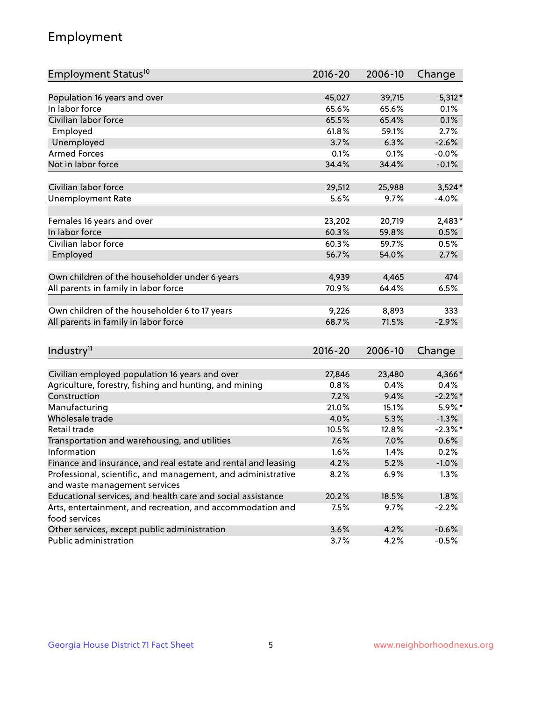## Employment

| Employment Status <sup>10</sup>                               | $2016 - 20$ | 2006-10 | Change     |
|---------------------------------------------------------------|-------------|---------|------------|
|                                                               |             |         |            |
| Population 16 years and over                                  | 45,027      | 39,715  | $5,312*$   |
| In labor force                                                | 65.6%       | 65.6%   | 0.1%       |
| Civilian labor force                                          | 65.5%       | 65.4%   | 0.1%       |
| Employed                                                      | 61.8%       | 59.1%   | 2.7%       |
| Unemployed                                                    | 3.7%        | 6.3%    | $-2.6%$    |
| <b>Armed Forces</b>                                           | 0.1%        | 0.1%    | $-0.0%$    |
| Not in labor force                                            | 34.4%       | 34.4%   | $-0.1%$    |
|                                                               |             |         |            |
| Civilian labor force                                          | 29,512      | 25,988  | $3,524*$   |
| <b>Unemployment Rate</b>                                      | 5.6%        | 9.7%    | $-4.0%$    |
| Females 16 years and over                                     | 23,202      | 20,719  | $2,483*$   |
| In labor force                                                | 60.3%       | 59.8%   | 0.5%       |
| Civilian labor force                                          | 60.3%       | 59.7%   | 0.5%       |
| Employed                                                      | 56.7%       | 54.0%   | 2.7%       |
|                                                               |             |         |            |
| Own children of the householder under 6 years                 | 4,939       | 4,465   | 474        |
| All parents in family in labor force                          | 70.9%       | 64.4%   | 6.5%       |
|                                                               |             |         |            |
| Own children of the householder 6 to 17 years                 | 9,226       | 8,893   | 333        |
| All parents in family in labor force                          | 68.7%       | 71.5%   | $-2.9%$    |
|                                                               |             |         |            |
| Industry <sup>11</sup>                                        | $2016 - 20$ | 2006-10 | Change     |
| Civilian employed population 16 years and over                | 27,846      | 23,480  | 4,366*     |
| Agriculture, forestry, fishing and hunting, and mining        | 0.8%        | 0.4%    | 0.4%       |
| Construction                                                  | 7.2%        | 9.4%    | $-2.2\%$ * |
| Manufacturing                                                 | 21.0%       | 15.1%   | 5.9%*      |
| Wholesale trade                                               | 4.0%        | 5.3%    | $-1.3%$    |
| Retail trade                                                  | 10.5%       | 12.8%   | $-2.3\%$ * |
| Transportation and warehousing, and utilities                 | 7.6%        | 7.0%    | 0.6%       |
| Information                                                   | 1.6%        | 1.4%    | 0.2%       |
| Finance and insurance, and real estate and rental and leasing | 4.2%        | 5.2%    | $-1.0%$    |
| Professional, scientific, and management, and administrative  | 8.2%        | 6.9%    | 1.3%       |
| and waste management services                                 |             |         |            |
| Educational services, and health care and social assistance   | 20.2%       | 18.5%   | 1.8%       |
| Arts, entertainment, and recreation, and accommodation and    | 7.5%        | 9.7%    | $-2.2%$    |
| food services                                                 |             |         |            |
| Other services, except public administration                  | 3.6%        | 4.2%    | $-0.6%$    |
| Public administration                                         | 3.7%        | 4.2%    | $-0.5%$    |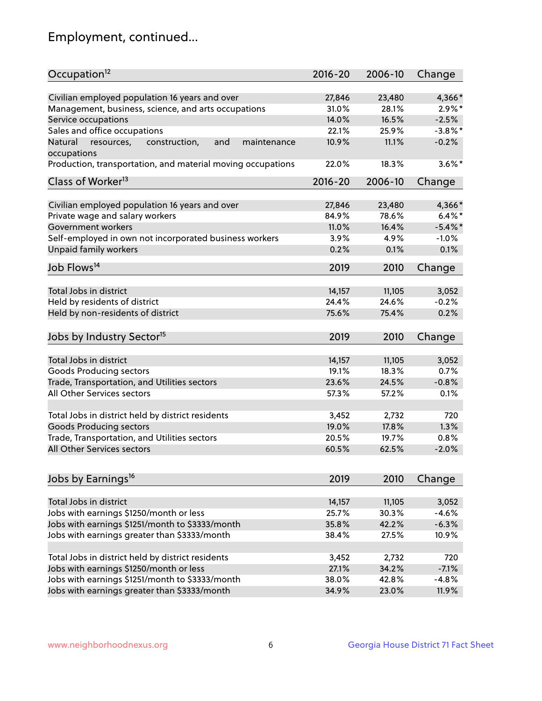## Employment, continued...

| Occupation <sup>12</sup>                                     | $2016 - 20$ | 2006-10 | Change     |
|--------------------------------------------------------------|-------------|---------|------------|
| Civilian employed population 16 years and over               | 27,846      | 23,480  | 4,366*     |
| Management, business, science, and arts occupations          | 31.0%       | 28.1%   | $2.9\%*$   |
| Service occupations                                          | 14.0%       | 16.5%   | $-2.5%$    |
| Sales and office occupations                                 | 22.1%       | 25.9%   | $-3.8\%$ * |
| resources,<br>and<br>maintenance<br>Natural<br>construction, | 10.9%       | 11.1%   | $-0.2%$    |
| occupations                                                  |             |         |            |
| Production, transportation, and material moving occupations  | 22.0%       | 18.3%   | $3.6\%$ *  |
| Class of Worker <sup>13</sup>                                | 2016-20     | 2006-10 | Change     |
|                                                              |             |         |            |
| Civilian employed population 16 years and over               | 27,846      | 23,480  | 4,366*     |
| Private wage and salary workers                              | 84.9%       | 78.6%   | $6.4\%$ *  |
| Government workers                                           | 11.0%       | 16.4%   | $-5.4\%$ * |
| Self-employed in own not incorporated business workers       | 3.9%        | 4.9%    | $-1.0%$    |
| Unpaid family workers                                        | 0.2%        | 0.1%    | 0.1%       |
| Job Flows <sup>14</sup>                                      | 2019        | 2010    | Change     |
|                                                              |             |         |            |
| Total Jobs in district                                       | 14,157      | 11,105  | 3,052      |
| Held by residents of district                                | 24.4%       | 24.6%   | $-0.2%$    |
| Held by non-residents of district                            | 75.6%       | 75.4%   | 0.2%       |
| Jobs by Industry Sector <sup>15</sup>                        | 2019        | 2010    | Change     |
| Total Jobs in district                                       | 14,157      | 11,105  | 3,052      |
|                                                              |             |         |            |
| Goods Producing sectors                                      | 19.1%       | 18.3%   | 0.7%       |
| Trade, Transportation, and Utilities sectors                 | 23.6%       | 24.5%   | $-0.8%$    |
| All Other Services sectors                                   | 57.3%       | 57.2%   | 0.1%       |
| Total Jobs in district held by district residents            | 3,452       | 2,732   | 720        |
| <b>Goods Producing sectors</b>                               | 19.0%       | 17.8%   | 1.3%       |
| Trade, Transportation, and Utilities sectors                 | 20.5%       | 19.7%   | 0.8%       |
| All Other Services sectors                                   | 60.5%       | 62.5%   | $-2.0%$    |
|                                                              |             |         |            |
| Jobs by Earnings <sup>16</sup>                               | 2019        | 2010    | Change     |
| Total Jobs in district                                       |             |         |            |
|                                                              | 14,157      | 11,105  | 3,052      |
| Jobs with earnings \$1250/month or less                      | 25.7%       | 30.3%   | $-4.6%$    |
| Jobs with earnings \$1251/month to \$3333/month              | 35.8%       | 42.2%   | $-6.3%$    |
| Jobs with earnings greater than \$3333/month                 | 38.4%       | 27.5%   | 10.9%      |
| Total Jobs in district held by district residents            | 3,452       | 2,732   | 720        |
| Jobs with earnings \$1250/month or less                      | 27.1%       | 34.2%   | $-7.1%$    |
| Jobs with earnings \$1251/month to \$3333/month              | 38.0%       | 42.8%   | $-4.8%$    |
| Jobs with earnings greater than \$3333/month                 | 34.9%       | 23.0%   | 11.9%      |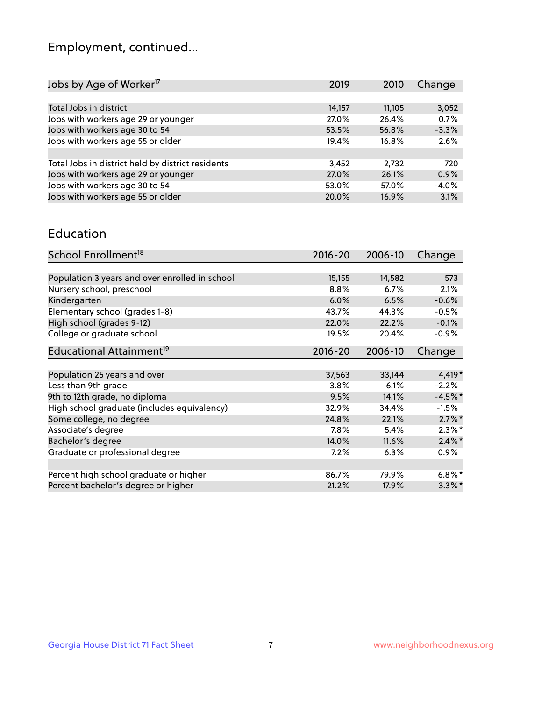## Employment, continued...

| 2019   | 2010   | Change  |
|--------|--------|---------|
|        |        |         |
| 14,157 | 11,105 | 3,052   |
| 27.0%  | 26.4%  | 0.7%    |
| 53.5%  | 56.8%  | $-3.3%$ |
| 19.4%  | 16.8%  | 2.6%    |
|        |        |         |
| 3,452  | 2,732  | 720     |
| 27.0%  | 26.1%  | 0.9%    |
| 53.0%  | 57.0%  | $-4.0%$ |
| 20.0%  | 16.9%  | 3.1%    |
|        |        |         |

#### Education

| School Enrollment <sup>18</sup>                | $2016 - 20$ | 2006-10 | Change    |
|------------------------------------------------|-------------|---------|-----------|
|                                                |             |         |           |
| Population 3 years and over enrolled in school | 15,155      | 14,582  | 573       |
| Nursery school, preschool                      | 8.8%        | 6.7%    | 2.1%      |
| Kindergarten                                   | 6.0%        | 6.5%    | $-0.6%$   |
| Elementary school (grades 1-8)                 | 43.7%       | 44.3%   | $-0.5%$   |
| High school (grades 9-12)                      | 22.0%       | 22.2%   | $-0.1%$   |
| College or graduate school                     | 19.5%       | 20.4%   | $-0.9%$   |
| Educational Attainment <sup>19</sup>           | $2016 - 20$ | 2006-10 | Change    |
|                                                |             |         |           |
| Population 25 years and over                   | 37,563      | 33,144  | 4,419*    |
| Less than 9th grade                            | 3.8%        | 6.1%    | $-2.2%$   |
| 9th to 12th grade, no diploma                  | 9.5%        | 14.1%   | $-4.5%$ * |
| High school graduate (includes equivalency)    | 32.9%       | 34.4%   | $-1.5%$   |
| Some college, no degree                        | 24.8%       | 22.1%   | $2.7\%$ * |
| Associate's degree                             | 7.8%        | 5.4%    | $2.3\%$ * |
| Bachelor's degree                              | 14.0%       | 11.6%   | $2.4\%$ * |
| Graduate or professional degree                | 7.2%        | 6.3%    | $0.9\%$   |
|                                                |             |         |           |
| Percent high school graduate or higher         | 86.7%       | 79.9%   | $6.8\%$ * |
| Percent bachelor's degree or higher            | 21.2%       | 17.9%   | $3.3\%$ * |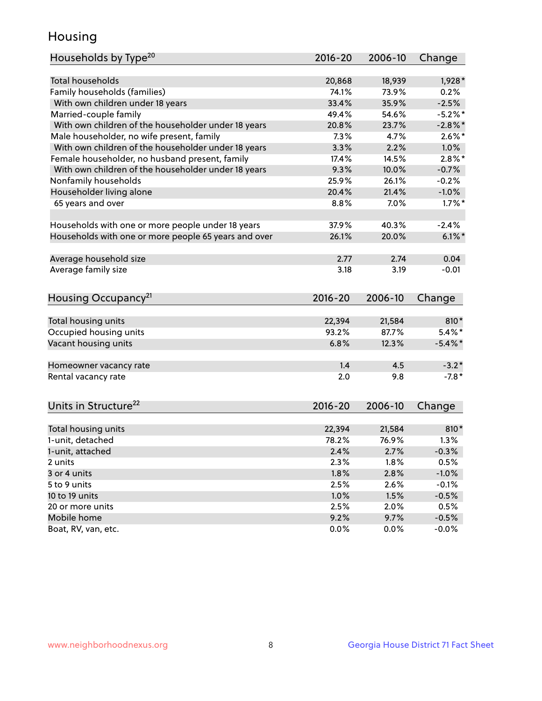## Housing

| Households by Type <sup>20</sup>                     | 2016-20      | 2006-10      | Change             |
|------------------------------------------------------|--------------|--------------|--------------------|
|                                                      |              |              |                    |
| <b>Total households</b>                              | 20,868       | 18,939       | $1,928*$           |
| Family households (families)                         | 74.1%        | 73.9%        | 0.2%               |
| With own children under 18 years                     | 33.4%        | 35.9%        | $-2.5%$            |
| Married-couple family                                | 49.4%        | 54.6%        | $-5.2%$ *          |
| With own children of the householder under 18 years  | 20.8%        | 23.7%        | $-2.8\%$ *         |
| Male householder, no wife present, family            | 7.3%         | 4.7%         | $2.6\%$ *          |
| With own children of the householder under 18 years  | 3.3%         | 2.2%         | 1.0%               |
| Female householder, no husband present, family       | 17.4%        | 14.5%        | $2.8\%$ *          |
| With own children of the householder under 18 years  | 9.3%         | 10.0%        | $-0.7%$            |
| Nonfamily households                                 | 25.9%        | 26.1%        | $-0.2%$            |
| Householder living alone                             | 20.4%        | 21.4%        | $-1.0%$            |
| 65 years and over                                    | 8.8%         | 7.0%         | $1.7\%$ *          |
|                                                      |              |              |                    |
| Households with one or more people under 18 years    | 37.9%        | 40.3%        | $-2.4%$            |
| Households with one or more people 65 years and over | 26.1%        | 20.0%        | $6.1\%$ *          |
| Average household size                               | 2.77         | 2.74         | 0.04               |
| Average family size                                  | 3.18         | 3.19         | $-0.01$            |
|                                                      |              |              |                    |
| Housing Occupancy <sup>21</sup>                      | $2016 - 20$  | 2006-10      | Change             |
|                                                      |              |              |                    |
| Total housing units                                  | 22,394       | 21,584       | 810*               |
| Occupied housing units                               | 93.2%        | 87.7%        | $5.4\%$ *          |
| Vacant housing units                                 | 6.8%         | 12.3%        | $-5.4\%$ *         |
| Homeowner vacancy rate                               | 1.4          | 4.5          | $-3.2*$            |
| Rental vacancy rate                                  | 2.0          | 9.8          | $-7.8*$            |
|                                                      |              |              |                    |
| Units in Structure <sup>22</sup>                     | $2016 - 20$  | 2006-10      | Change             |
| Total housing units                                  | 22,394       | 21,584       | 810*               |
| 1-unit, detached                                     | 78.2%        | 76.9%        | 1.3%               |
|                                                      | 2.4%         | 2.7%         | $-0.3%$            |
| 1-unit, attached<br>2 units                          | 2.3%         | 1.8%         | 0.5%               |
| 3 or 4 units                                         | 1.8%         | 2.8%         | $-1.0%$            |
|                                                      | 2.5%         | 2.6%         |                    |
| 5 to 9 units                                         |              |              | $-0.1%$            |
| 10 to 19 units                                       | 1.0%         | 1.5%         | $-0.5%$            |
| 20 or more units                                     | 2.5%         | 2.0%         | 0.5%               |
| Mobile home<br>Boat, RV, van, etc.                   | 9.2%<br>0.0% | 9.7%<br>0.0% | $-0.5%$<br>$-0.0%$ |
|                                                      |              |              |                    |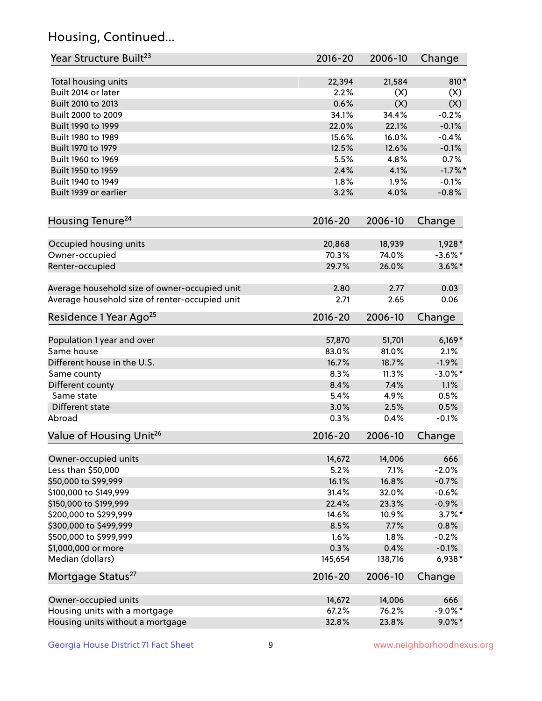## Housing, Continued...

| Year Structure Built <sup>23</sup>             | 2016-20     | 2006-10 | Change     |
|------------------------------------------------|-------------|---------|------------|
| Total housing units                            | 22,394      | 21,584  | $810*$     |
| Built 2014 or later                            | 2.2%        | (X)     | (X)        |
| Built 2010 to 2013                             | 0.6%        | (X)     | (X)        |
| Built 2000 to 2009                             | 34.1%       | 34.4%   | $-0.2%$    |
| Built 1990 to 1999                             | 22.0%       | 22.1%   | $-0.1%$    |
| Built 1980 to 1989                             | 15.6%       | 16.0%   | $-0.4%$    |
| Built 1970 to 1979                             | 12.5%       | 12.6%   | $-0.1%$    |
| Built 1960 to 1969                             | 5.5%        | 4.8%    | 0.7%       |
| Built 1950 to 1959                             | 2.4%        | 4.1%    | $-1.7%$ *  |
| Built 1940 to 1949                             | 1.8%        | 1.9%    | $-0.1%$    |
| Built 1939 or earlier                          | 3.2%        | 4.0%    | $-0.8%$    |
| Housing Tenure <sup>24</sup>                   | $2016 - 20$ | 2006-10 | Change     |
| Occupied housing units                         | 20,868      | 18,939  | $1,928*$   |
| Owner-occupied                                 | 70.3%       | 74.0%   | $-3.6\%$ * |
| Renter-occupied                                | 29.7%       | 26.0%   | $3.6\%$ *  |
| Average household size of owner-occupied unit  | 2.80        | 2.77    | 0.03       |
| Average household size of renter-occupied unit | 2.71        | 2.65    | 0.06       |
| Residence 1 Year Ago <sup>25</sup>             | 2016-20     | 2006-10 | Change     |
| Population 1 year and over                     | 57,870      | 51,701  | $6,169*$   |
| Same house                                     | 83.0%       | 81.0%   | 2.1%       |
| Different house in the U.S.                    | 16.7%       | 18.7%   | $-1.9%$    |
| Same county                                    | 8.3%        | 11.3%   | $-3.0\%$ * |
| Different county                               | 8.4%        | 7.4%    | 1.1%       |
| Same state                                     | 5.4%        | 4.9%    | 0.5%       |
| Different state                                | 3.0%        | 2.5%    | 0.5%       |
| Abroad                                         | 0.3%        | 0.4%    | $-0.1%$    |
| Value of Housing Unit <sup>26</sup>            | $2016 - 20$ | 2006-10 | Change     |
| Owner-occupied units                           | 14,672      | 14,006  | 666        |
| Less than \$50,000                             | 5.2%        | 7.1%    | $-2.0%$    |
| \$50,000 to \$99,999                           | 16.1%       | 16.8%   | $-0.7%$    |
| \$100,000 to \$149,999                         | 31.4%       | 32.0%   | $-0.6%$    |
| \$150,000 to \$199,999                         | 22.4%       | 23.3%   | $-0.9%$    |
| \$200,000 to \$299,999                         | 14.6%       | 10.9%   | $3.7\%$ *  |
| \$300,000 to \$499,999                         | 8.5%        | 7.7%    | 0.8%       |
| \$500,000 to \$999,999                         | 1.6%        | 1.8%    | $-0.2%$    |
| \$1,000,000 or more                            | 0.3%        | 0.4%    | $-0.1%$    |
| Median (dollars)                               | 145,654     | 138,716 | 6,938*     |
| Mortgage Status <sup>27</sup>                  | $2016 - 20$ | 2006-10 | Change     |
| Owner-occupied units                           | 14,672      | 14,006  | 666        |
| Housing units with a mortgage                  | 67.2%       | 76.2%   | $-9.0\%$ * |
| Housing units without a mortgage               | 32.8%       | 23.8%   | $9.0\%$ *  |
|                                                |             |         |            |

Georgia House District 71 Fact Sheet 9 9 9 www.neighborhoodnexus.org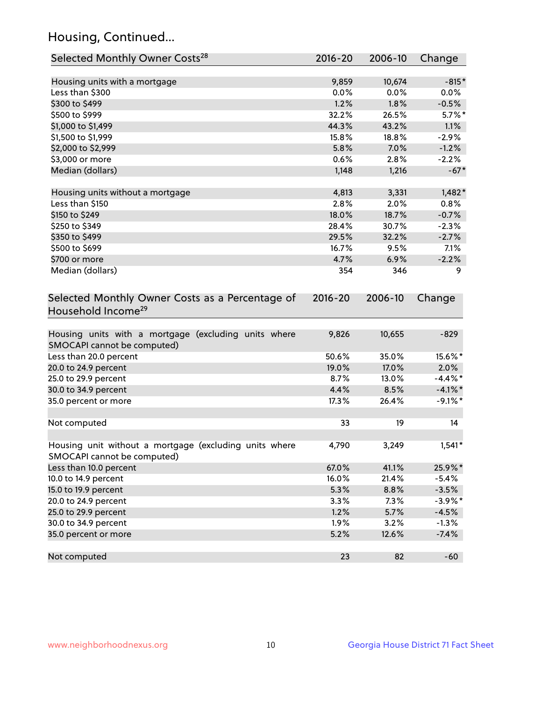## Housing, Continued...

| Selected Monthly Owner Costs <sup>28</sup>                                            | 2016-20     | 2006-10 | Change     |
|---------------------------------------------------------------------------------------|-------------|---------|------------|
| Housing units with a mortgage                                                         | 9,859       | 10,674  | $-815*$    |
| Less than \$300                                                                       | 0.0%        | 0.0%    | $0.0\%$    |
| \$300 to \$499                                                                        | 1.2%        | 1.8%    | $-0.5%$    |
| \$500 to \$999                                                                        | 32.2%       | 26.5%   | $5.7\%$ *  |
| \$1,000 to \$1,499                                                                    | 44.3%       | 43.2%   | 1.1%       |
| \$1,500 to \$1,999                                                                    | 15.8%       | 18.8%   | $-2.9%$    |
| \$2,000 to \$2,999                                                                    | 5.8%        | 7.0%    | $-1.2%$    |
| \$3,000 or more                                                                       | 0.6%        | 2.8%    | $-2.2%$    |
| Median (dollars)                                                                      | 1,148       | 1,216   | $-67*$     |
| Housing units without a mortgage                                                      | 4,813       | 3,331   | $1,482*$   |
| Less than \$150                                                                       | 2.8%        | 2.0%    | 0.8%       |
| \$150 to \$249                                                                        | 18.0%       | 18.7%   | $-0.7%$    |
| \$250 to \$349                                                                        | 28.4%       | 30.7%   | $-2.3%$    |
| \$350 to \$499                                                                        | 29.5%       | 32.2%   | $-2.7%$    |
| \$500 to \$699                                                                        | 16.7%       | 9.5%    | 7.1%       |
| \$700 or more                                                                         | 4.7%        | 6.9%    | $-2.2%$    |
| Median (dollars)                                                                      | 354         | 346     | 9          |
| Selected Monthly Owner Costs as a Percentage of<br>Household Income <sup>29</sup>     | $2016 - 20$ | 2006-10 | Change     |
| Housing units with a mortgage (excluding units where<br>SMOCAPI cannot be computed)   | 9,826       | 10,655  | $-829$     |
| Less than 20.0 percent                                                                | 50.6%       | 35.0%   | 15.6%*     |
| 20.0 to 24.9 percent                                                                  | 19.0%       | 17.0%   | 2.0%       |
| 25.0 to 29.9 percent                                                                  | 8.7%        | 13.0%   | $-4.4\%$ * |
| 30.0 to 34.9 percent                                                                  | 4.4%        | 8.5%    | $-4.1\%$ * |
| 35.0 percent or more                                                                  | 17.3%       | 26.4%   | $-9.1\%$ * |
| Not computed                                                                          | 33          | 19      | 14         |
| Housing unit without a mortgage (excluding units where<br>SMOCAPI cannot be computed) | 4,790       | 3,249   | $1,541*$   |
| Less than 10.0 percent                                                                | 67.0%       | 41.1%   | 25.9%*     |
| 10.0 to 14.9 percent                                                                  | 16.0%       | 21.4%   | $-5.4%$    |
| 15.0 to 19.9 percent                                                                  | 5.3%        | 8.8%    | $-3.5%$    |
| 20.0 to 24.9 percent                                                                  | 3.3%        | 7.3%    | $-3.9\%$ * |
| 25.0 to 29.9 percent                                                                  | 1.2%        | 5.7%    | $-4.5%$    |
| 30.0 to 34.9 percent                                                                  | 1.9%        | 3.2%    | $-1.3%$    |
| 35.0 percent or more                                                                  | 5.2%        | 12.6%   | $-7.4%$    |
| Not computed                                                                          | 23          | 82      | $-60$      |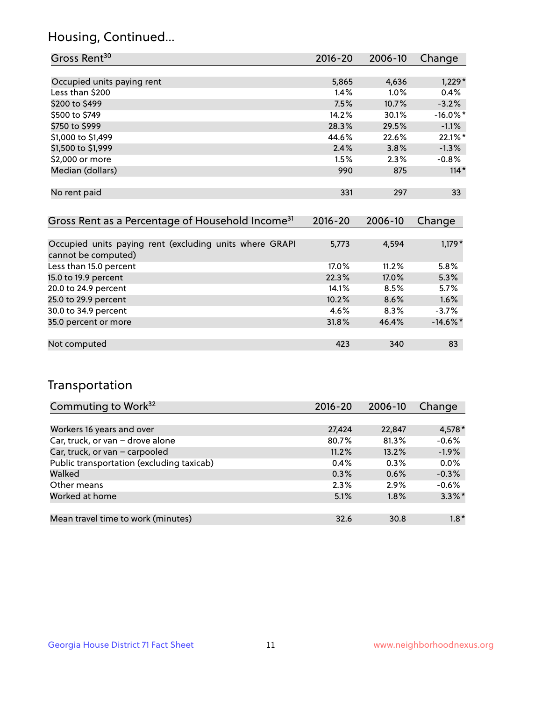## Housing, Continued...

| Gross Rent <sup>30</sup>   | 2016-20 | 2006-10 | Change      |
|----------------------------|---------|---------|-------------|
|                            |         |         |             |
| Occupied units paying rent | 5,865   | 4,636   | $1,229*$    |
| Less than \$200            | 1.4%    | 1.0%    | 0.4%        |
| \$200 to \$499             | 7.5%    | 10.7%   | $-3.2%$     |
| \$500 to \$749             | 14.2%   | 30.1%   | $-16.0\%$ * |
| \$750 to \$999             | 28.3%   | 29.5%   | $-1.1%$     |
| \$1,000 to \$1,499         | 44.6%   | 22.6%   | 22.1%*      |
| \$1,500 to \$1,999         | 2.4%    | 3.8%    | $-1.3%$     |
| \$2,000 or more            | 1.5%    | 2.3%    | $-0.8%$     |
| Median (dollars)           | 990     | 875     | $114*$      |
|                            |         |         |             |
| No rent paid               | 331     | 297     | 33          |
|                            |         |         |             |

| Gross Rent as a Percentage of Household Income <sup>31</sup>                   | $2016 - 20$ | 2006-10 | Change      |
|--------------------------------------------------------------------------------|-------------|---------|-------------|
|                                                                                |             |         |             |
| Occupied units paying rent (excluding units where GRAPI<br>cannot be computed) | 5,773       | 4,594   | $1,179*$    |
| Less than 15.0 percent                                                         | 17.0%       | 11.2%   | 5.8%        |
| 15.0 to 19.9 percent                                                           | 22.3%       | 17.0%   | 5.3%        |
| 20.0 to 24.9 percent                                                           | 14.1%       | 8.5%    | 5.7%        |
| 25.0 to 29.9 percent                                                           | 10.2%       | 8.6%    | 1.6%        |
| 30.0 to 34.9 percent                                                           | 4.6%        | 8.3%    | $-3.7%$     |
| 35.0 percent or more                                                           | 31.8%       | 46.4%   | $-14.6\%$ * |
|                                                                                |             |         |             |
| Not computed                                                                   | 423         | 340     | 83          |

## Transportation

| Commuting to Work <sup>32</sup>           | 2016-20 | 2006-10 | Change    |
|-------------------------------------------|---------|---------|-----------|
|                                           |         |         |           |
| Workers 16 years and over                 | 27,424  | 22,847  | 4,578 *   |
| Car, truck, or van - drove alone          | 80.7%   | 81.3%   | $-0.6%$   |
| Car, truck, or van - carpooled            | 11.2%   | 13.2%   | $-1.9%$   |
| Public transportation (excluding taxicab) | 0.4%    | 0.3%    | 0.0%      |
| Walked                                    | 0.3%    | 0.6%    | $-0.3%$   |
| Other means                               | 2.3%    | 2.9%    | $-0.6%$   |
| Worked at home                            | 5.1%    | 1.8%    | $3.3\%$ * |
|                                           |         |         |           |
| Mean travel time to work (minutes)        | 32.6    | 30.8    | $1.8*$    |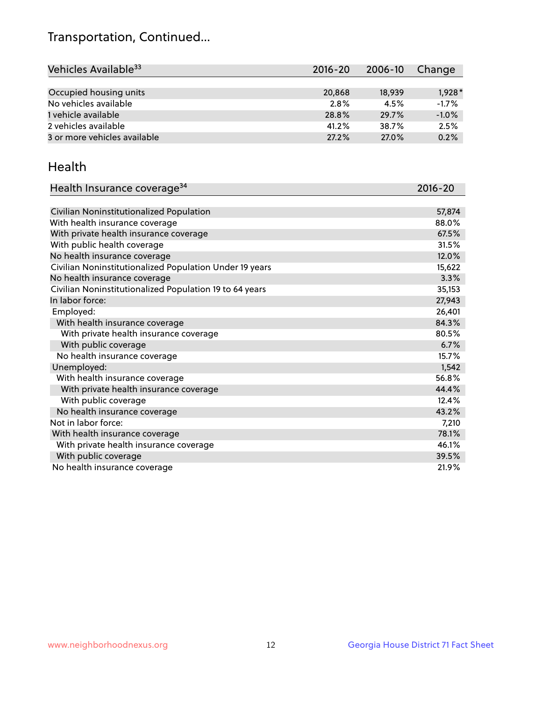## Transportation, Continued...

| Vehicles Available <sup>33</sup> | 2016-20 | 2006-10 | Change   |
|----------------------------------|---------|---------|----------|
|                                  |         |         |          |
| Occupied housing units           | 20,868  | 18,939  | $1,928*$ |
| No vehicles available            | 2.8%    | 4.5%    | $-1.7%$  |
| 1 vehicle available              | 28.8%   | 29.7%   | $-1.0%$  |
| 2 vehicles available             | 41.2%   | 38.7%   | 2.5%     |
| 3 or more vehicles available     | 27.2%   | 27.0%   | 0.2%     |

#### Health

| Health Insurance coverage <sup>34</sup>                 | 2016-20 |
|---------------------------------------------------------|---------|
|                                                         |         |
| Civilian Noninstitutionalized Population                | 57,874  |
| With health insurance coverage                          | 88.0%   |
| With private health insurance coverage                  | 67.5%   |
| With public health coverage                             | 31.5%   |
| No health insurance coverage                            | 12.0%   |
| Civilian Noninstitutionalized Population Under 19 years | 15,622  |
| No health insurance coverage                            | 3.3%    |
| Civilian Noninstitutionalized Population 19 to 64 years | 35,153  |
| In labor force:                                         | 27,943  |
| Employed:                                               | 26,401  |
| With health insurance coverage                          | 84.3%   |
| With private health insurance coverage                  | 80.5%   |
| With public coverage                                    | 6.7%    |
| No health insurance coverage                            | 15.7%   |
| Unemployed:                                             | 1,542   |
| With health insurance coverage                          | 56.8%   |
| With private health insurance coverage                  | 44.4%   |
| With public coverage                                    | 12.4%   |
| No health insurance coverage                            | 43.2%   |
| Not in labor force:                                     | 7,210   |
| With health insurance coverage                          | 78.1%   |
| With private health insurance coverage                  | 46.1%   |
| With public coverage                                    | 39.5%   |
| No health insurance coverage                            | 21.9%   |